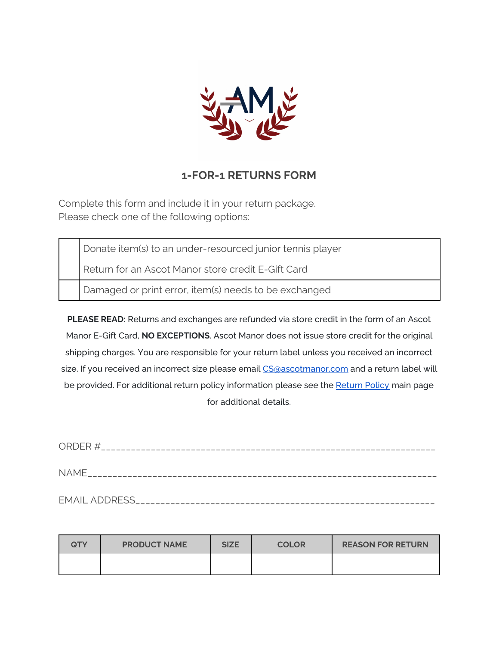

## **1-FOR-1 RETURNS FORM**

Complete this form and include it in your return package. Please check one of the following options:

Donate item(s) to an under-resourced junior tennis player

Return for an Ascot Manor store credit E-Gift Card

Damaged or print error, item(s) needs to be exchanged

**PLEASE READ:** Returns and exchanges are refunded via store credit in the form of an Ascot Manor E-Gift Card, **NO EXCEPTIONS**. Ascot Manor does not issue store credit for the original shipping charges. You are responsible for your return label unless you received an incorrect size. If you received an incorrect size please email [CS@ascotmanor.com](mailto:CS@ascotmanor.com) and a return label will be provided. For additional return policy information please see the [Return](https://www.ascotmanor.com/shipping-returns) Policy main page for additional details.

| <b>NAME</b> |  |
|-------------|--|
|             |  |
|             |  |

| <b>QTY</b> | <b>PRODUCT NAME</b> | <b>SIZE</b> | <b>COLOR</b> | <b>REASON FOR RETURN</b> |
|------------|---------------------|-------------|--------------|--------------------------|
|            |                     |             |              |                          |